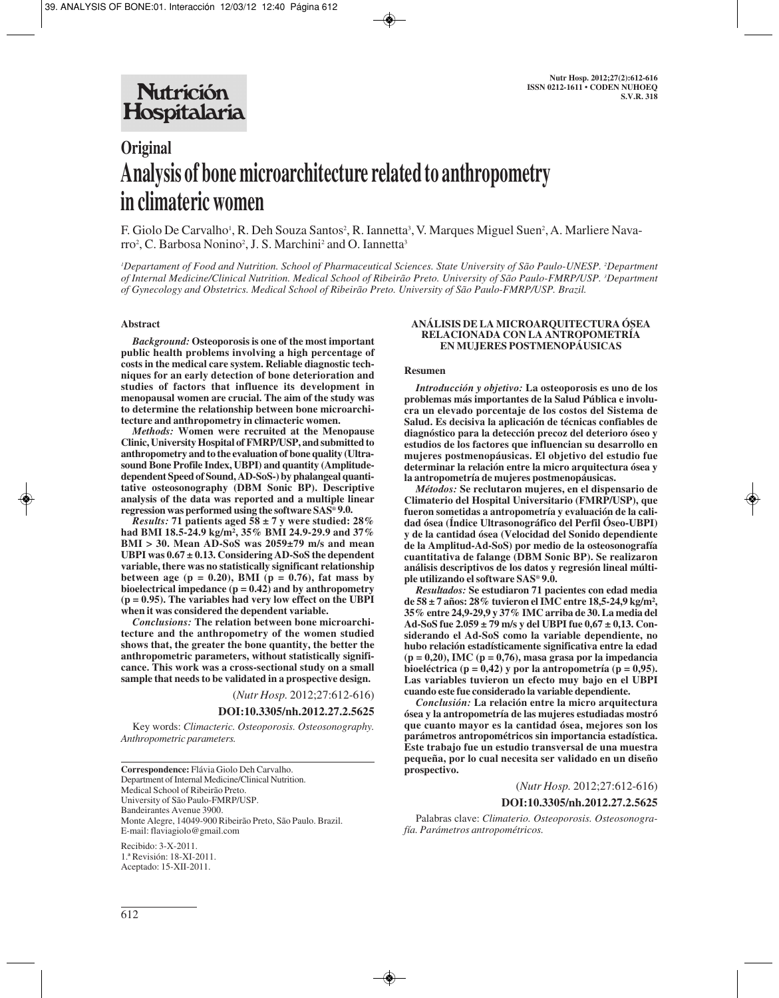# **Original Analysis of bone microarchitecture related to anthropometry in climateric women**

F. Giolo De Carvalho', R. Deh Souza Santos<sup>2</sup>, R. Iannetta<sup>3</sup>, V. Marques Miguel Suen<sup>2</sup>, A. Marliere Navarro<sup>2</sup>, C. Barbosa Nonino<sup>2</sup>, J. S. Marchini<sup>2</sup> and O. Iannetta<sup>3</sup>

*1 Departament of Food and Nutrition. School of Pharmaceutical Sciences. State University of São Paulo-UNESP. 2 Department of Internal Medicine/Clinical Nutrition. Medical School of Ribeirão Preto. University of São Paulo-FMRP/USP. 3 Department of Gynecology and Obstetrics. Medical School of Ribeirão Preto. University of São Paulo-FMRP/USP. Brazil.*

## **Abstract**

*Background:* **Osteoporosis is one of the most important public health problems involving a high percentage of costs in the medical care system. Reliable diagnostic techniques for an early detection of bone deterioration and studies of factors that influence its development in menopausal women are crucial. The aim of the study was to determine the relationship between bone microarchitecture and anthropometry in climacteric women.**

*Methods:* **Women were recruited at the Menopause Clinic, University Hospital of FMRP/USP, and submitted to anthropometry and to the evaluation of bone quality (Ultrasound Bone Profile Index, UBPI) and quantity (Amplitudedependent Speed of Sound, AD-SoS-) by phalangeal quantitative osteosonography (DBM Sonic BP). Descriptive analysis of the data was reported and a multiple linear regression was performed using the software SAS® 9.0.**

*Results:* **71 patients aged 58 ± 7 y were studied: 28% had BMI 18.5-24.9 kg/m², 35% BMI 24.9-29.9 and 37% BMI > 30. Mean AD-SoS was 2059±79 m/s and mean UBPI was 0.67 ± 0.13. Considering AD-SoS the dependent variable, there was no statistically significant relationship between age (p = 0.20), BMI (p = 0.76), fat mass by bioelectrical impedance (p = 0.42) and by anthropometry (p = 0.95). The variables had very low effect on the UBPI when it was considered the dependent variable.**

*Conclusions:* **The relation between bone microarchitecture and the anthropometry of the women studied shows that, the greater the bone quantity, the better the anthropometric parameters, without statistically significance. This work was a cross-sectional study on a small sample that needs to be validated in a prospective design.**

(*Nutr Hosp.* 2012;27:612-616)

**DOI:10.3305/nh.2012.27.2.5625**

Key words: *Climacteric. Osteoporosis. Osteosonography. Anthropometric parameters.*

**Correspondence:** Flávia Giolo Deh Carvalho. Department of Internal Medicine/Clinical Nutrition. Medical School of Ribeirão Preto. University of São Paulo-FMRP/USP. Bandeirantes Avenue 3900. Monte Alegre, 14049-900 Ribeirão Preto, São Paulo. Brazil. E-mail: flaviagiolo@gmail.com

Recibido: 3-X-2011. 1.ª Revisión: 18-XI-2011. Aceptado: 15-XII-2011.

## **ANÁLISIS DE LA MICROARQUITECTURA ÓSEA RELACIONADA CON LA ANTROPOMETRÍA EN MUJERES POSTMENOPÁUSICAS**

#### **Resumen**

*Introducción y objetivo:* **La osteoporosis es uno de los problemas más importantes de la Salud Pública e involucra un elevado porcentaje de los costos del Sistema de Salud. Es decisiva la aplicación de técnicas confiables de diagnóstico para la detección precoz del deterioro óseo y estudios de los factores que influencian su desarrollo en mujeres postmenopáusicas. El objetivo del estudio fue determinar la relación entre la micro arquitectura ósea y la antropometría de mujeres postmenopáusicas.**

*Métodos:* **Se reclutaron mujeres, en el dispensario de Climaterio del Hospital Universitario (FMRP/USP), que fueron sometidas a antropometría y evaluación de la calidad ósea (Índice Ultrasonográfico del Perfil Óseo-UBPI) y de la cantidad ósea (Velocidad del Sonido dependiente de la Amplitud-Ad-SoS) por medio de la osteosonografía cuantitativa de falange (DBM Sonic BP). Se realizaron análisis descriptivos de los datos y regresión lineal múltiple utilizando el software SAS® 9.0.**

*Resultados:* **Se estudiaron 71 pacientes con edad media de 58 ± 7 años: 28% tuvieron el IMC entre 18,5-24,9 kg/m², 35% entre 24,9-29,9 y 37% IMC arriba de 30. La media del Ad-SoS fue 2.059 ± 79 m/s y del UBPI fue 0,67 ± 0,13. Considerando el Ad-SoS como la variable dependiente, no hubo relación estadísticamente significativa entre la edad (p = 0,20), IMC (p = 0,76), masa grasa por la impedancia bioeléctrica (p = 0,42) y por la antropometría (p = 0,95). Las variables tuvieron un efecto muy bajo en el UBPI cuando este fue considerado la variable dependiente.**

*Conclusión:* **La relación entre la micro arquitectura ósea y la antropometría de las mujeres estudiadas mostró que cuanto mayor es la cantidad ósea, mejores son los parámetros antropométricos sin importancia estadística. Este trabajo fue un estudio transversal de una muestra pequeña, por lo cual necesita ser validado en un diseño prospectivo.** 

# (*Nutr Hosp.* 2012;27:612-616)

### **DOI:10.3305/nh.2012.27.2.5625**

Palabras clave: *Climaterio. Osteoporosis. Osteosonografía. Parámetros antropométricos.*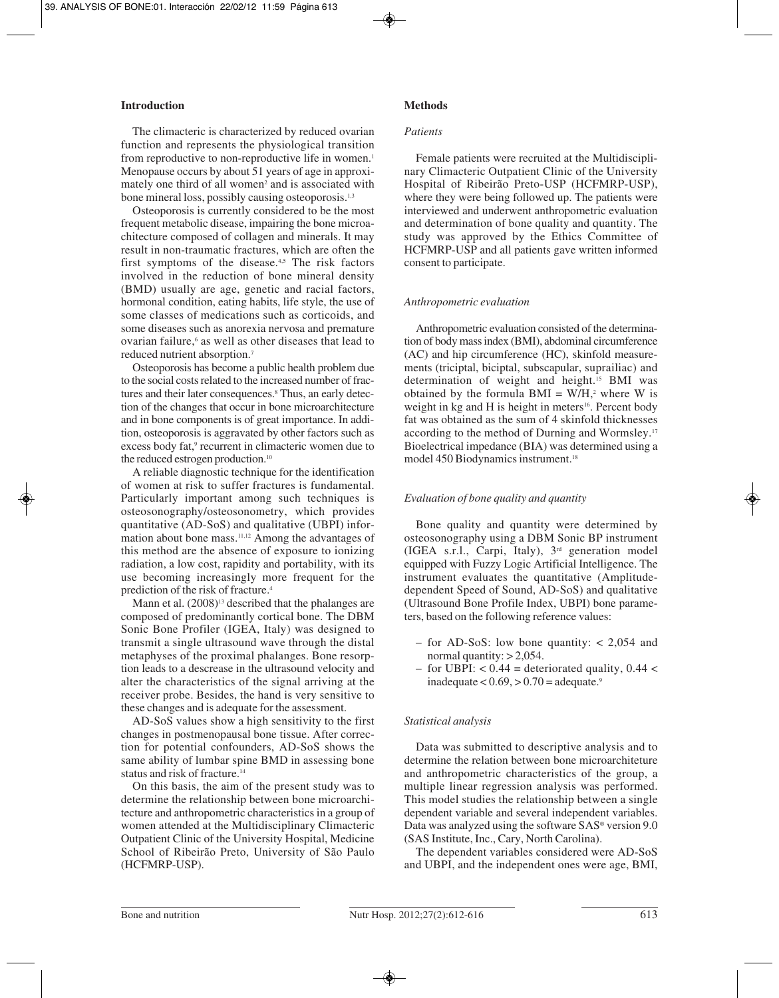# **Introduction**

The climacteric is characterized by reduced ovarian function and represents the physiological transition from reproductive to non-reproductive life in women.<sup>1</sup> Menopause occurs by about 51 years of age in approximately one third of all women<sup>2</sup> and is associated with bone mineral loss, possibly causing osteoporosis.<sup>1,3</sup>

Osteoporosis is currently considered to be the most frequent metabolic disease, impairing the bone microachitecture composed of collagen and minerals. It may result in non-traumatic fractures, which are often the first symptoms of the disease. $4,5$  The risk factors involved in the reduction of bone mineral density (BMD) usually are age, genetic and racial factors, hormonal condition, eating habits, life style, the use of some classes of medications such as corticoids, and some diseases such as anorexia nervosa and premature ovarian failure,6 as well as other diseases that lead to reduced nutrient absorption.7

Osteoporosis has become a public health problem due to the social costs related to the increased number of fractures and their later consequences.8 Thus, an early detection of the changes that occur in bone microarchitecture and in bone components is of great importance. In addition, osteoporosis is aggravated by other factors such as excess body fat,<sup>9</sup> recurrent in climacteric women due to the reduced estrogen production.10

A reliable diagnostic technique for the identification of women at risk to suffer fractures is fundamental. Particularly important among such techniques is osteosonography/osteosonometry, which provides quantitative (AD-SoS) and qualitative (UBPI) information about bone mass.<sup>11,12</sup> Among the advantages of this method are the absence of exposure to ionizing radiation, a low cost, rapidity and portability, with its use becoming increasingly more frequent for the prediction of the risk of fracture.4

Mann et al.  $(2008)^{13}$  described that the phalanges are composed of predominantly cortical bone. The DBM Sonic Bone Profiler (IGEA, Italy) was designed to transmit a single ultrasound wave through the distal metaphyses of the proximal phalanges. Bone resorption leads to a descrease in the ultrasound velocity and alter the characteristics of the signal arriving at the receiver probe. Besides, the hand is very sensitive to these changes and is adequate for the assessment.

AD-SoS values show a high sensitivity to the first changes in postmenopausal bone tissue. After correction for potential confounders, AD-SoS shows the same ability of lumbar spine BMD in assessing bone status and risk of fracture.<sup>14</sup>

On this basis, the aim of the present study was to determine the relationship between bone microarchitecture and anthropometric characteristics in a group of women attended at the Multidisciplinary Climacteric Outpatient Clinic of the University Hospital, Medicine School of Ribeirão Preto, University of São Paulo (HCFMRP-USP).

# **Methods**

### *Patients*

Female patients were recruited at the Multidisciplinary Climacteric Outpatient Clinic of the University Hospital of Ribeirão Preto-USP (HCFMRP-USP), where they were being followed up. The patients were interviewed and underwent anthropometric evaluation and determination of bone quality and quantity. The study was approved by the Ethics Committee of HCFMRP-USP and all patients gave written informed consent to participate.

# *Anthropometric evaluation*

Anthropometric evaluation consisted of the determination of body mass index (BMI), abdominal circumference (AC) and hip circumference (HC), skinfold measurements (triciptal, biciptal, subscapular, suprailiac) and determination of weight and height.15 BMI was obtained by the formula  $BMI = W/H$ ,<sup>2</sup> where W is weight in kg and H is height in meters<sup>16</sup>. Percent body fat was obtained as the sum of 4 skinfold thicknesses according to the method of Durning and Wormsley.17 Bioelectrical impedance (BIA) was determined using a model 450 Biodynamics instrument.<sup>18</sup>

## *Evaluation of bone quality and quantity*

Bone quality and quantity were determined by osteosonography using a DBM Sonic BP instrument (IGEA s.r.l., Carpi, Italy), 3rd generation model equipped with Fuzzy Logic Artificial Intelligence. The instrument evaluates the quantitative (Amplitudedependent Speed of Sound, AD-SoS) and qualitative (Ultrasound Bone Profile Index, UBPI) bone parameters, based on the following reference values:

- for AD-SoS: low bone quantity: < 2,054 and normal quantity:  $> 2,054$ .
- for UBPI:  $< 0.44$  = deteriorated quality, 0.44  $<$ inadequate  $< 0.69$ ,  $> 0.70$  = adequate.<sup>9</sup>

# *Statistical analysis*

Data was submitted to descriptive analysis and to determine the relation between bone microarchiteture and anthropometric characteristics of the group, a multiple linear regression analysis was performed. This model studies the relationship between a single dependent variable and several independent variables. Data was analyzed using the software SAS® version 9.0 (SAS Institute, Inc., Cary, North Carolina).

The dependent variables considered were AD-SoS and UBPI, and the independent ones were age, BMI,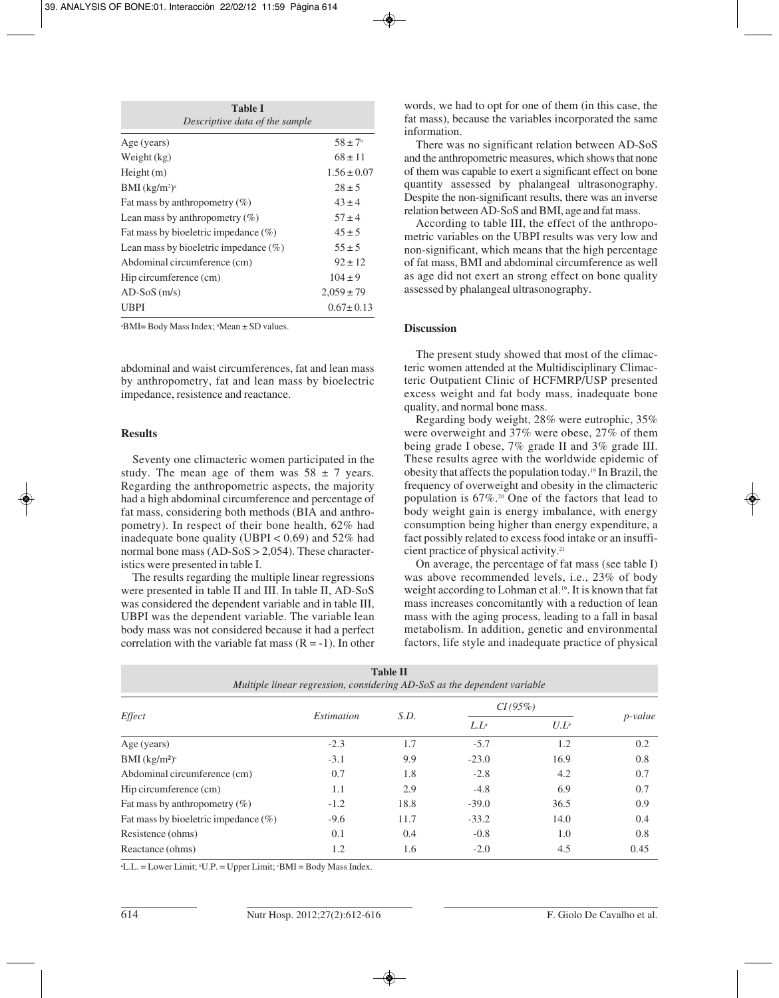| <b>Table I</b><br>Descriptive data of the sample |                    |  |  |  |  |  |
|--------------------------------------------------|--------------------|--|--|--|--|--|
| Age (years)                                      | $58 \pm 7^{\circ}$ |  |  |  |  |  |
| Weight (kg)                                      | $68 \pm 11$        |  |  |  |  |  |
| Height(m)                                        | $1.56 \pm 0.07$    |  |  |  |  |  |
| BMI (kg/m <sup>2</sup> ) <sup>a</sup>            | $28 \pm 5$         |  |  |  |  |  |
| Fat mass by anthropometry $(\%)$                 | $43 \pm 4$         |  |  |  |  |  |
| Lean mass by anthropometry $(\% )$               | $57 + 4$           |  |  |  |  |  |
| Fat mass by bioeletric impedance $(\%)$          | $45 \pm 5$         |  |  |  |  |  |
| Lean mass by bioeletric impedance $(\% )$        | $55 \pm 5$         |  |  |  |  |  |
| Abdominal circumference (cm)                     | $92 \pm 12$        |  |  |  |  |  |
| Hip circumference (cm)                           | $104 \pm 9$        |  |  |  |  |  |
| $AD-SoS$ (m/s)                                   | $2,059 \pm 79$     |  |  |  |  |  |
| UBPI                                             | $0.67 \pm 0.13$    |  |  |  |  |  |
|                                                  |                    |  |  |  |  |  |

a BMI= Body Mass Index; b Mean ± SD values.

abdominal and waist circumferences, fat and lean mass by anthropometry, fat and lean mass by bioelectric impedance, resistence and reactance.

### **Results**

Seventy one climacteric women participated in the study. The mean age of them was  $58 \pm 7$  years. Regarding the anthropometric aspects, the majority had a high abdominal circumference and percentage of fat mass, considering both methods (BIA and anthropometry). In respect of their bone health, 62% had inadequate bone quality (UBPI  $< 0.69$ ) and 52% had normal bone mass (AD-SoS > 2,054). These characteristics were presented in table I.

The results regarding the multiple linear regressions were presented in table II and III. In table II, AD-SoS was considered the dependent variable and in table III, UBPI was the dependent variable. The variable lean body mass was not considered because it had a perfect correlation with the variable fat mass  $(R = -1)$ . In other words, we had to opt for one of them (in this case, the fat mass), because the variables incorporated the same information.

There was no significant relation between AD-SoS and the anthropometric measures, which shows that none of them was capable to exert a significant effect on bone quantity assessed by phalangeal ultrasonography. Despite the non-significant results, there was an inverse relation between AD-SoS and BMI, age and fat mass.

According to table III, the effect of the anthropometric variables on the UBPI results was very low and non-significant, which means that the high percentage of fat mass, BMI and abdominal circumference as well as age did not exert an strong effect on bone quality assessed by phalangeal ultrasonography.

## **Discussion**

The present study showed that most of the climacteric women attended at the Multidisciplinary Climacteric Outpatient Clinic of HCFMRP/USP presented excess weight and fat body mass, inadequate bone quality, and normal bone mass.

Regarding body weight, 28% were eutrophic, 35% were overweight and 37% were obese, 27% of them being grade I obese, 7% grade II and 3% grade III. These results agree with the worldwide epidemic of obesity that affects the population today.19 In Brazil, the frequency of overweight and obesity in the climacteric population is 67%.20 One of the factors that lead to body weight gain is energy imbalance, with energy consumption being higher than energy expenditure, a fact possibly related to excess food intake or an insufficient practice of physical activity.21

On average, the percentage of fat mass (see table I) was above recommended levels, i.e., 23% of body weight according to Lohman et al.<sup>19</sup>. It is known that fat mass increases concomitantly with a reduction of lean mass with the aging process, leading to a fall in basal metabolism. In addition, genetic and environmental factors, life style and inadequate practice of physical

| <b>Table II</b><br>Multiple linear regression, considering AD-SoS as the dependent variable |                   |      |         |         |                 |  |  |  |  |
|---------------------------------------------------------------------------------------------|-------------------|------|---------|---------|-----------------|--|--|--|--|
| Effect                                                                                      | <i>Estimation</i> | S.D. | CI(95%) |         |                 |  |  |  |  |
|                                                                                             |                   |      | $L.L^a$ | $U.L^b$ | <i>p</i> -value |  |  |  |  |
| Age (years)                                                                                 | $-2.3$            | 1.7  | $-5.7$  | 1.2     | 0.2             |  |  |  |  |
| BMI $(kg/m2)c$                                                                              | $-3.1$            | 9.9  | $-23.0$ | 16.9    | 0.8             |  |  |  |  |
| Abdominal circumference (cm)                                                                | 0.7               | 1.8  | $-2.8$  | 4.2     | 0.7             |  |  |  |  |
| Hip circumference (cm)                                                                      | 1.1               | 2.9  | $-4.8$  | 6.9     | 0.7             |  |  |  |  |
| Fat mass by anthropometry $(\%)$                                                            | $-1.2$            | 18.8 | $-39.0$ | 36.5    | 0.9             |  |  |  |  |
| Fat mass by bioeletric impedance $(\%)$                                                     | $-9.6$            | 11.7 | $-33.2$ | 14.0    | 0.4             |  |  |  |  |
| Resistence (ohms)                                                                           | 0.1               | 0.4  | $-0.8$  | 1.0     | 0.8             |  |  |  |  |
| Reactance (ohms)                                                                            | 1.2               | 1.6  | $-2.0$  | 4.5     | 0.45            |  |  |  |  |

a L.L. = Lower Limit; b U.P. = Upper Limit; c BMI = Body Mass Index.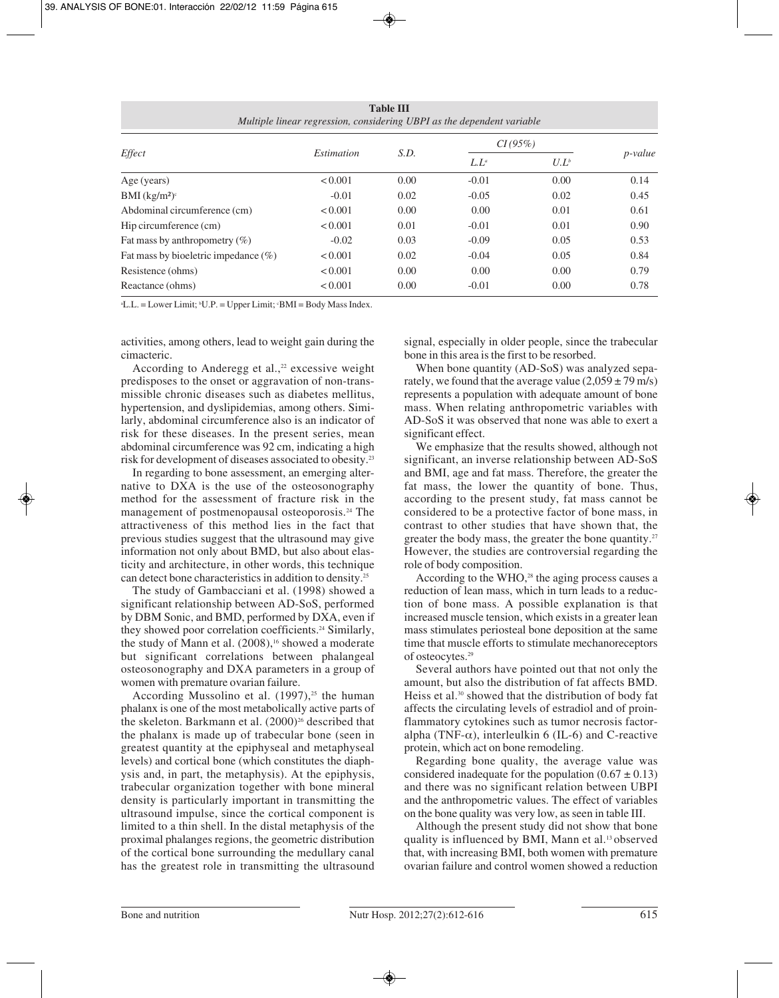| <b>Table III</b><br>Multiple linear regression, considering UBPI as the dependent variable |                   |      |         |         |                 |  |  |  |  |
|--------------------------------------------------------------------------------------------|-------------------|------|---------|---------|-----------------|--|--|--|--|
| Effect                                                                                     | <i>Estimation</i> | S.D. | CI(95%) |         |                 |  |  |  |  |
|                                                                                            |                   |      | $L.L^a$ | $U.L^b$ | <i>p</i> -value |  |  |  |  |
| Age (years)                                                                                | < 0.001           | 0.00 | $-0.01$ | 0.00    | 0.14            |  |  |  |  |
| BMI $(kg/m2)c$                                                                             | $-0.01$           | 0.02 | $-0.05$ | 0.02    | 0.45            |  |  |  |  |
| Abdominal circumference (cm)                                                               | < 0.001           | 0.00 | 0.00    | 0.01    | 0.61            |  |  |  |  |
| Hip circumference (cm)                                                                     | < 0.001           | 0.01 | $-0.01$ | 0.01    | 0.90            |  |  |  |  |
| Fat mass by anthropometry $(\%)$                                                           | $-0.02$           | 0.03 | $-0.09$ | 0.05    | 0.53            |  |  |  |  |
| Fat mass by bioeletric impedance $(\%)$                                                    | < 0.001           | 0.02 | $-0.04$ | 0.05    | 0.84            |  |  |  |  |
| Resistence (ohms)                                                                          | < 0.001           | 0.00 | 0.00    | 0.00    | 0.79            |  |  |  |  |
| Reactance (ohms)                                                                           | < 0.001           | 0.00 | $-0.01$ | 0.00    | 0.78            |  |  |  |  |

a L.L. = Lower Limit; b U.P. = Upper Limit; c BMI = Body Mass Index.

activities, among others, lead to weight gain during the cimacteric.

According to Anderegg et al., $22$  excessive weight predisposes to the onset or aggravation of non-transmissible chronic diseases such as diabetes mellitus, hypertension, and dyslipidemias, among others. Similarly, abdominal circumference also is an indicator of risk for these diseases. In the present series, mean abdominal circumference was 92 cm, indicating a high risk for development of diseases associated to obesity.23

In regarding to bone assessment, an emerging alternative to DXA is the use of the osteosonography method for the assessment of fracture risk in the management of postmenopausal osteoporosis.24 The attractiveness of this method lies in the fact that previous studies suggest that the ultrasound may give information not only about BMD, but also about elasticity and architecture, in other words, this technique can detect bone characteristics in addition to density.25

The study of Gambacciani et al. (1998) showed a significant relationship between AD-SoS, performed by DBM Sonic, and BMD, performed by DXA, even if they showed poor correlation coefficients.<sup>24</sup> Similarly, the study of Mann et al. (2008),<sup>16</sup> showed a moderate but significant correlations between phalangeal osteosonography and DXA parameters in a group of women with premature ovarian failure.

According Mussolino et al.  $(1997)$ ,<sup>25</sup> the human phalanx is one of the most metabolically active parts of the skeleton. Barkmann et al. (2000)<sup>26</sup> described that the phalanx is made up of trabecular bone (seen in greatest quantity at the epiphyseal and metaphyseal levels) and cortical bone (which constitutes the diaphysis and, in part, the metaphysis). At the epiphysis, trabecular organization together with bone mineral density is particularly important in transmitting the ultrasound impulse, since the cortical component is limited to a thin shell. In the distal metaphysis of the proximal phalanges regions, the geometric distribution of the cortical bone surrounding the medullary canal has the greatest role in transmitting the ultrasound

signal, especially in older people, since the trabecular bone in this area is the first to be resorbed.

When bone quantity (AD-SoS) was analyzed separately, we found that the average value  $(2.059 \pm 79 \text{ m/s})$ represents a population with adequate amount of bone mass. When relating anthropometric variables with AD-SoS it was observed that none was able to exert a significant effect.

We emphasize that the results showed, although not significant, an inverse relationship between AD-SoS and BMI, age and fat mass. Therefore, the greater the fat mass, the lower the quantity of bone. Thus, according to the present study, fat mass cannot be considered to be a protective factor of bone mass, in contrast to other studies that have shown that, the greater the body mass, the greater the bone quantity.27 However, the studies are controversial regarding the role of body composition.

According to the WHO, $28$  the aging process causes a reduction of lean mass, which in turn leads to a reduction of bone mass. A possible explanation is that increased muscle tension, which exists in a greater lean mass stimulates periosteal bone deposition at the same time that muscle efforts to stimulate mechanoreceptors of osteocytes.29

Several authors have pointed out that not only the amount, but also the distribution of fat affects BMD. Heiss et al.30 showed that the distribution of body fat affects the circulating levels of estradiol and of proinflammatory cytokines such as tumor necrosis factoralpha (TNF- $\alpha$ ), interleulkin 6 (IL-6) and C-reactive protein, which act on bone remodeling.

Regarding bone quality, the average value was considered inadequate for the population  $(0.67 \pm 0.13)$ and there was no significant relation between UBPI and the anthropometric values. The effect of variables on the bone quality was very low, as seen in table III.

Although the present study did not show that bone quality is influenced by BMI, Mann et al.13 observed that, with increasing BMI, both women with premature ovarian failure and control women showed a reduction